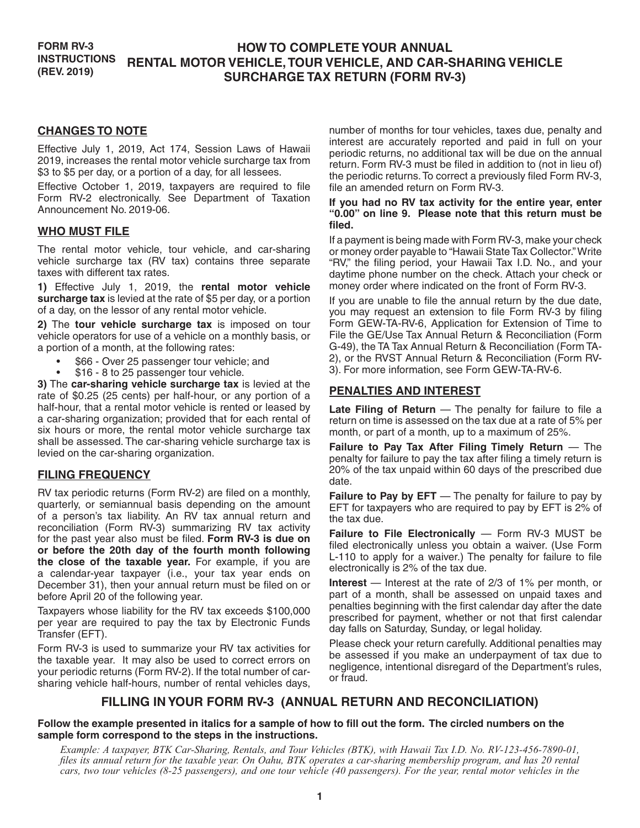#### **FORM RV-3 INSTRUCTIONS (REV. 2019) HOW TO COMPLETE YOUR ANNUAL RENTAL MOTOR VEHICLE, TOUR VEHICLE, AND CAR-SHARING VEHICLE SURCHARGE TAX RETURN (FORM RV-3)**

#### **CHANGES TO NOTE**

Effective July 1, 2019, Act 174, Session Laws of Hawaii 2019, increases the rental motor vehicle surcharge tax from \$3 to \$5 per day, or a portion of a day, for all lessees.

Effective October 1, 2019, taxpayers are required to file Form RV-2 electronically. See Department of Taxation Announcement No. 2019-06.

#### **WHO MUST FILE**

The rental motor vehicle, tour vehicle, and car-sharing vehicle surcharge tax (RV tax) contains three separate taxes with different tax rates.

**1)** Effective July 1, 2019, the **rental motor vehicle surcharge tax** is levied at the rate of \$5 per day, or a portion of a day, on the lessor of any rental motor vehicle.

**2)** The **tour vehicle surcharge tax** is imposed on tour vehicle operators for use of a vehicle on a monthly basis, or a portion of a month, at the following rates:

- \$66 Over 25 passenger tour vehicle; and
- \$16 8 to 25 passenger tour vehicle.

**3)** The **car-sharing vehicle surcharge tax** is levied at the rate of \$0.25 (25 cents) per half-hour, or any portion of a half-hour, that a rental motor vehicle is rented or leased by a car-sharing organization; provided that for each rental of six hours or more, the rental motor vehicle surcharge tax shall be assessed. The car-sharing vehicle surcharge tax is levied on the car-sharing organization.

### **FILING FREQUENCY**

RV tax periodic returns (Form RV-2) are filed on a monthly, quarterly, or semiannual basis depending on the amount of a person's tax liability. An RV tax annual return and reconciliation (Form RV-3) summarizing RV tax activity for the past year also must be filed. **Form RV-3 is due on or before the 20th day of the fourth month following the close of the taxable year.** For example, if you are a calendar-year taxpayer (i.e., your tax year ends on December 31), then your annual return must be filed on or before April 20 of the following year.

Taxpayers whose liability for the RV tax exceeds \$100,000 per year are required to pay the tax by Electronic Funds Transfer (EFT).

Form RV-3 is used to summarize your RV tax activities for the taxable year. It may also be used to correct errors on your periodic returns (Form RV-2). If the total number of carsharing vehicle half-hours, number of rental vehicles days,

number of months for tour vehicles, taxes due, penalty and interest are accurately reported and paid in full on your periodic returns, no additional tax will be due on the annual return. Form RV-3 must be filed in addition to (not in lieu of) the periodic returns. To correct a previously filed Form RV-3, file an amended return on Form RV-3.

#### **If you had no RV tax activity for the entire year, enter "0.00" on line 9. Please note that this return must be filed.**

If a payment is being made with Form RV-3, make your check or money order payable to "Hawaii State Tax Collector." Write "RV," the filing period, your Hawaii Tax I.D. No., and your daytime phone number on the check. Attach your check or money order where indicated on the front of Form RV-3.

If you are unable to file the annual return by the due date, you may request an extension to file Form RV-3 by filing Form GEW-TA-RV-6, Application for Extension of Time to File the GE/Use Tax Annual Return & Reconciliation (Form G-49), the TA Tax Annual Return & Reconciliation (Form TA-2), or the RVST Annual Return & Reconciliation (Form RV-3). For more information, see Form GEW-TA-RV-6.

### **PENALTIES AND INTEREST**

**Late Filing of Return** — The penalty for failure to file a return on time is assessed on the tax due at a rate of 5% per month, or part of a month, up to a maximum of 25%.

**Failure to Pay Tax After Filing Timely Return** — The penalty for failure to pay the tax after filing a timely return is 20% of the tax unpaid within 60 days of the prescribed due date.

**Failure to Pay by EFT** — The penalty for failure to pay by EFT for taxpayers who are required to pay by EFT is 2% of the tax due.

**Failure to File Electronically** — Form RV-3 MUST be filed electronically unless you obtain a waiver. (Use Form L-110 to apply for a waiver.) The penalty for failure to file electronically is 2% of the tax due.

**Interest** — Interest at the rate of 2/3 of 1% per month, or part of a month, shall be assessed on unpaid taxes and penalties beginning with the first calendar day after the date prescribed for payment, whether or not that first calendar day falls on Saturday, Sunday, or legal holiday.

Please check your return carefully. Additional penalties may be assessed if you make an underpayment of tax due to negligence, intentional disregard of the Department's rules, or fraud.

# **FILLING IN YOUR FORM RV-3 (ANNUAL RETURN AND RECONCILIATION)**

#### **Follow the example presented in italics for a sample of how to fill out the form. The circled numbers on the sample form correspond to the steps in the instructions.**

*Example: A taxpayer, BTK Car-Sharing, Rentals, and Tour Vehicles (BTK), with Hawaii Tax I.D. No. RV-123-456-7890-01, files its annual return for the taxable year. On Oahu, BTK operates a car-sharing membership program, and has 20 rental cars, two tour vehicles (8-25 passengers), and one tour vehicle (40 passengers). For the year, rental motor vehicles in the*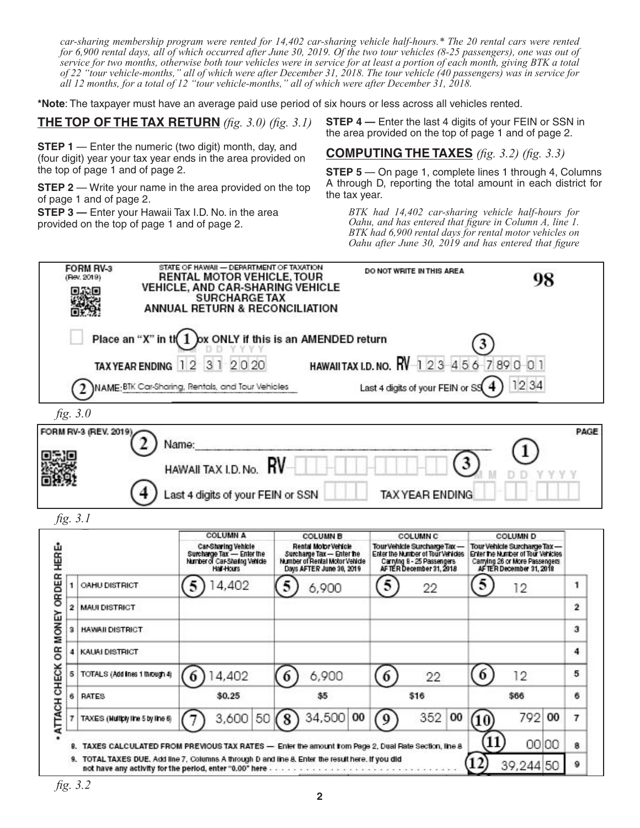*car-sharing membership program were rented for 14,402 car-sharing vehicle half-hours.\* The 20 rental cars were rented for 6,900 rental days, all of which occurred after June 30, 2019. Of the two tour vehicles (8-25 passengers), one was out of service for two months, otherwise both tour vehicles were in service for at least a portion of each month, giving BTK a total of 22 "tour vehicle-months," all of which were after December 31, 2018. The tour vehicle (40 passengers) was in service for all 12 months, for a total of 12 "tour vehicle-months," all of which were after December 31, 2018.*

**\*Note**: The taxpayer must have an average paid use period of six hours or less across all vehicles rented.

# **THE TOP OF THE TAX RETURN** *(fig. 3.0) (fig. 3.1)*

**STEP 1** — Enter the numeric (two digit) month, day, and (four digit) year your tax year ends in the area provided on the top of page 1 and of page 2.

**STEP 2** — Write your name in the area provided on the top of page 1 and of page 2.

**STEP 3** — Enter your Hawaii Tax I.D. No. in the area provided on the top of page 1 and of page 2.

**STEP 4** – Enter the last 4 digits of your FEIN or SSN in the area provided on the top of page 1 and of page 2.

# **COMPUTING THE TAXES** *(fig. 3.2) (fig. 3.3)*

**STEP 5** — On page 1, complete lines 1 through 4, Columns A through D, reporting the total amount in each district for the tax year.

*BTK had 14,402 car-sharing vehicle half-hours for Oahu, and has entered that figure in Column A, line 1. BTK had 6,900 rental days for rental motor vehicles on Oahu after June 30, 2019 and has entered that figure* 

|              |                                    | 3<br>2020<br>$\overline{1}$<br>$\overline{2}$<br>NAME:BTK Car-Sharing, Rentals, and Tour Vehicles |                                                                                                                 | <b>HAWAIITAX I.D. NO. RV</b> 1 2 3 4 5 6 7 8 9 0 0 1<br>Last 4 digits of your FEIN or SS                                   | 12 34                                                                                                                          |                       |
|--------------|------------------------------------|---------------------------------------------------------------------------------------------------|-----------------------------------------------------------------------------------------------------------------|----------------------------------------------------------------------------------------------------------------------------|--------------------------------------------------------------------------------------------------------------------------------|-----------------------|
|              | fig. 3.0<br>FORM RV-3 (REV. 2019). |                                                                                                   |                                                                                                                 |                                                                                                                            |                                                                                                                                | PAGE                  |
|              |                                    | Name:<br>HAWAII TAX I.D. No.                                                                      | RV                                                                                                              |                                                                                                                            |                                                                                                                                |                       |
|              |                                    | Last 4 digits of your FEIN or SSN                                                                 |                                                                                                                 | <b>TAX YEAR ENDING</b>                                                                                                     |                                                                                                                                |                       |
|              |                                    |                                                                                                   |                                                                                                                 |                                                                                                                            |                                                                                                                                |                       |
|              | fig. 3.1                           | <b>COLUMN A</b>                                                                                   | <b>COLUMN B</b>                                                                                                 | <b>COLUMN C</b>                                                                                                            | COLUMN D                                                                                                                       |                       |
|              |                                    | Car-Sharing Vehicle<br>Surcharge Tax - Enter the<br>Number of Car-Sharing Vehicle<br>Hall-Hours   | Rental Motor Vehicle<br>Surcharge Tax - Enter the<br>Number of Rental Motor Vehicle<br>Days AFTER June 30, 2019 | Tour Vehicle Surcharge Tax -<br>Enter the Number of Tour Vehicles<br>Carrying 8 - 25 Passengers<br>AFTER December 31, 2018 | Tour Vehicle Surcharge Tax —<br>Enter the Number of Tour Vehicles<br>Carrying 26 or More Passengers<br>AFTER December 31, 2019 |                       |
| 1            | OAHU DISTRICT                      | 5<br>4,402                                                                                        | 6,900                                                                                                           | 5<br>22                                                                                                                    | 5<br>12                                                                                                                        | 1                     |
| $\mathbf{2}$ | <b>MAUI DISTRICT</b>               |                                                                                                   |                                                                                                                 |                                                                                                                            |                                                                                                                                |                       |
| з            | <b>HAWAII DISTRICT</b>             |                                                                                                   |                                                                                                                 |                                                                                                                            |                                                                                                                                |                       |
| 4            | KAUAI DISTRICT                     |                                                                                                   |                                                                                                                 |                                                                                                                            |                                                                                                                                |                       |
| 5            | TOTALS (Add ines 1 through 4)      | 4,402<br>6                                                                                        | 6,900<br>6                                                                                                      | 6<br>22                                                                                                                    | 6<br>12                                                                                                                        |                       |
| 6            | RATES                              | \$0.25                                                                                            | \$5                                                                                                             | \$16                                                                                                                       | \$66                                                                                                                           | 2<br>з<br>4<br>5<br>6 |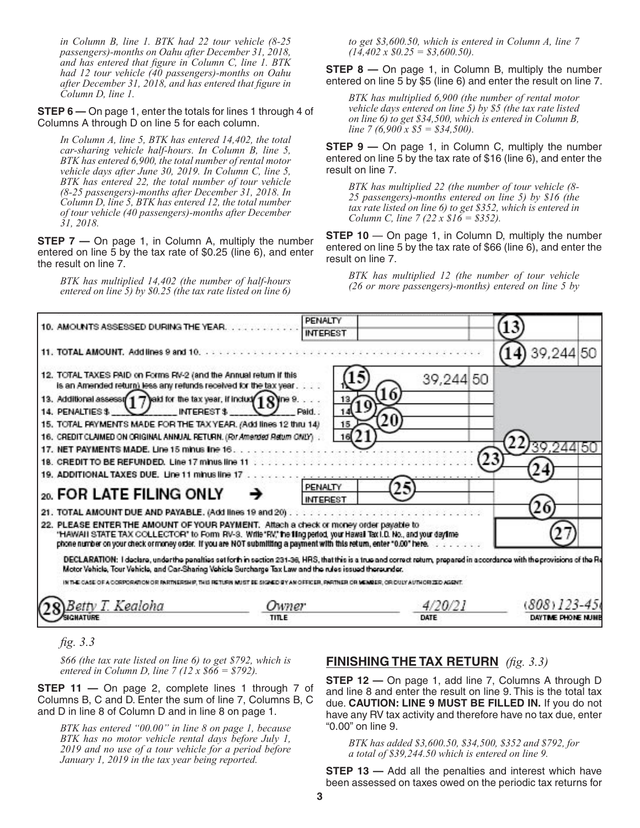*in Column B, line 1. BTK had 22 tour vehicle (8-25 passengers)-months on Oahu after December 31, 2018, and has entered that figure in Column C, line 1. BTK had 12 tour vehicle (40 passengers)-months on Oahu after December 31, 2018, and has entered that figure in Column D, line 1.* 

**STEP 6 —** On page 1, enter the totals for lines 1 through 4 of Columns A through D on line 5 for each column.

*In Column A, line 5, BTK has entered 14,402, the total car-sharing vehicle half-hours. In Column B, line 5, BTK has entered 6,900, the total number of rental motor vehicle days after June 30, 2019. In Column C, line 5, BTK has entered 22, the total number of tour vehicle (8-25 passengers)-months after December 31, 2018. In Column D, line 5, BTK has entered 12, the total number of tour vehicle (40 passengers)-months after December 31, 2018.* 

**STEP 7** — On page 1, in Column A, multiply the number entered on line 5 by the tax rate of \$0.25 (line 6), and enter the result on line 7.

*BTK has multiplied 14,402 (the number of half-hours entered on line 5) by \$0.25 (the tax rate listed on line 6)*  *to get \$3,600.50, which is entered in Column A, line 7 (14,402 x \$0.25 = \$3,600.50).*

**STEP 8** – On page 1, in Column B, multiply the number entered on line 5 by \$5 (line 6) and enter the result on line 7.

*BTK has multiplied 6,900 (the number of rental motor vehicle days entered on line 5) by \$5 (the tax rate listed on line 6) to get \$34,500, which is entered in Column B, line 7 (6,900 x \$5 = \$34,500).*

**STEP 9** — On page 1, in Column C, multiply the number entered on line 5 by the tax rate of \$16 (line 6), and enter the result on line 7.

*BTK has multiplied 22 (the number of tour vehicle (8- 25 passengers)-months entered on line 5) by \$16 (the tax rate listed on line 6) to get \$352, which is entered in Column C, line 7 (22 x \$16 = \$352).*

**STEP 10** — On page 1, in Column D, multiply the number entered on line 5 by the tax rate of \$66 (line 6), and enter the result on line 7.

*BTK has multiplied 12 (the number of tour vehicle (26 or more passengers)-months) entered on line 5 by* 

| 10. AMOUNTS ASSESSED DURING THE YEAR.                                                                                                                                                                                                                                                                                                                                                                                                                                 | PENALTY                                                                                                                                                                                                                                                                               |                 |                    |
|-----------------------------------------------------------------------------------------------------------------------------------------------------------------------------------------------------------------------------------------------------------------------------------------------------------------------------------------------------------------------------------------------------------------------------------------------------------------------|---------------------------------------------------------------------------------------------------------------------------------------------------------------------------------------------------------------------------------------------------------------------------------------|-----------------|--------------------|
|                                                                                                                                                                                                                                                                                                                                                                                                                                                                       | <b>INTEREST</b>                                                                                                                                                                                                                                                                       |                 |                    |
| 11. TOTAL AMOUNT. Add lines 9 and 10.                                                                                                                                                                                                                                                                                                                                                                                                                                 |                                                                                                                                                                                                                                                                                       |                 | 4) 39, 244 50      |
| 12. TOTAL TAXES PAID on Forms RV-2 (and the Annual return if this<br>is an Amended return) less any retunds received for the tax year.<br>13. Additional assess $\sqrt{17}$ aid for the tax year, if includ $\sqrt{18}$ ine 9.<br>INTEREST \$<br>14. PENALTIES \$<br>15. TOTAL FAYMENTS MADE FOR THE TAX YEAR. (Add lines 12 thru 14)<br>16. CREDIT CLAIMED ON ORIGINAL ANNUAL RETURN. (For Amended Return ONLY).<br>18. CREDIT TO BE REFUNDED. Line 17 minus line 11 | Paid.<br>15                                                                                                                                                                                                                                                                           | 39,244 50<br>23 |                    |
| 19. ADDITIONAL TAXES DUE. Line 11 minus line 17                                                                                                                                                                                                                                                                                                                                                                                                                       |                                                                                                                                                                                                                                                                                       |                 |                    |
| 20. FOR LATE FILING ONLY                                                                                                                                                                                                                                                                                                                                                                                                                                              | PENALTY<br><b>INTEREST</b>                                                                                                                                                                                                                                                            |                 |                    |
|                                                                                                                                                                                                                                                                                                                                                                                                                                                                       |                                                                                                                                                                                                                                                                                       |                 |                    |
| 22. PLEASE ENTER THE AMOUNT OF YOUR PAYMENT. Attach a check or money order payable to                                                                                                                                                                                                                                                                                                                                                                                 | "HAWAII STATE TAX COLLECTOR" to Form RV-3. Witte"RV," the fing period, your Hawaii Tax I.D. No., and your daytme<br>phone number on your check ormoney order. If you are NOT submitting a payment with this return, enter *0.00" here.                                                |                 |                    |
|                                                                                                                                                                                                                                                                                                                                                                                                                                                                       | DECLARATION: I declare, under the penalties set forth in section 231-38, HRS, that this is a true and correct return, prepared in accordance with the provisions of the Re<br>Motor Vehicle, Tour Vehicle, and Car-Sharing Vehicle Surcharge Tax Law and the rules issued thereunder. |                 |                    |
|                                                                                                                                                                                                                                                                                                                                                                                                                                                                       | IN THE CASE OF A CORPORATION OR PARTNERSHIP. THIS RETURN MUST BE SIGNED BY AN OFFICER, PARTNER OR MEMBER, OR DULY AUTHORIZED AGENT.                                                                                                                                                   |                 |                    |
|                                                                                                                                                                                                                                                                                                                                                                                                                                                                       |                                                                                                                                                                                                                                                                                       | 4/20/21         | $(808)$ 123-45 $($ |
| Betty T. Kealoha                                                                                                                                                                                                                                                                                                                                                                                                                                                      | Owner                                                                                                                                                                                                                                                                                 |                 |                    |

*fig. 3.3*

*\$66 (the tax rate listed on line 6) to get \$792, which is entered in Column D, line 7 (12 x \$66 = \$792).*

**STEP 11 —** On page 2, complete lines 1 through 7 of Columns B, C and D. Enter the sum of line 7, Columns B, C and D in line 8 of Column D and in line 8 on page 1.

*BTK has entered "00.00" in line 8 on page 1, because BTK has no motor vehicle rental days before July 1, 2019 and no use of a tour vehicle for a period before January 1, 2019 in the tax year being reported.*

### **FINISHING THE TAX RETURN** *(fig. 3.3)*

**STEP 12 —** On page 1, add line 7, Columns A through D and line 8 and enter the result on line 9. This is the total tax due. **CAUTION: LINE 9 MUST BE FILLED IN.** If you do not have any RV tax activity and therefore have no tax due, enter "0.00" on line 9.

*BTK has added \$3,600.50, \$34,500, \$352 and \$792, for a total of \$39,244.50 which is entered on line 9.*

**STEP 13 – Add all the penalties and interest which have** been assessed on taxes owed on the periodic tax returns for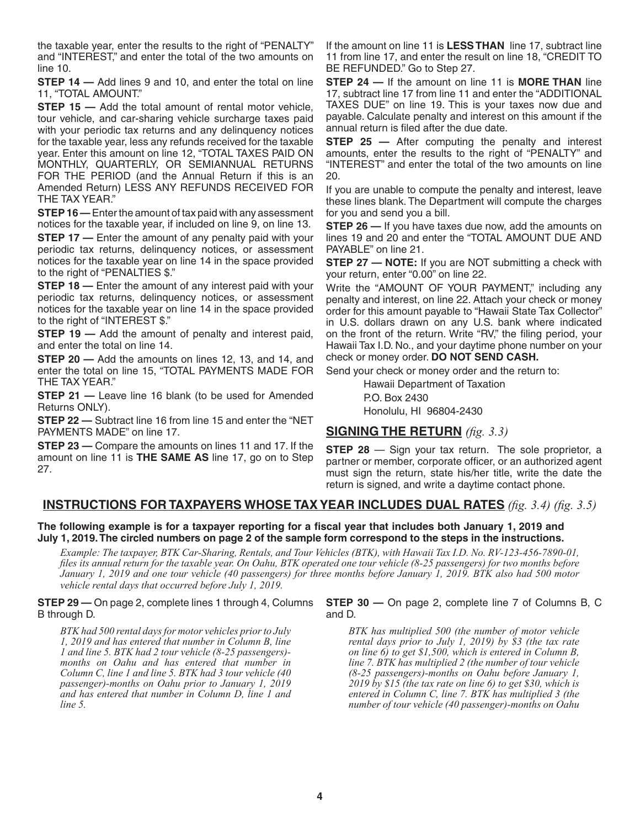the taxable year, enter the results to the right of "PENALTY" and "INTEREST," and enter the total of the two amounts on line 10.

**STEP 14** – Add lines 9 and 10, and enter the total on line 11, "TOTAL AMOUNT."

**STEP 15 – Add the total amount of rental motor vehicle,** tour vehicle, and car-sharing vehicle surcharge taxes paid with your periodic tax returns and any delinquency notices for the taxable year, less any refunds received for the taxable year. Enter this amount on line 12, "TOTAL TAXES PAID ON MONTHLY, QUARTERLY, OR SEMIANNUAL RETURNS FOR THE PERIOD (and the Annual Return if this is an Amended Return) LESS ANY REFUNDS RECEIVED FOR THE TAX YEAR."

**STEP 16 —** Enter the amount of tax paid with any assessment notices for the taxable year, if included on line 9, on line 13.

**STEP 17** — Enter the amount of any penalty paid with your periodic tax returns, delinquency notices, or assessment notices for the taxable year on line 14 in the space provided to the right of "PENALTIES \$."

**STEP 18** — Enter the amount of any interest paid with your periodic tax returns, delinquency notices, or assessment notices for the taxable year on line 14 in the space provided to the right of "INTEREST \$."

**STEP 19** — Add the amount of penalty and interest paid, and enter the total on line 14.

**STEP 20 —** Add the amounts on lines 12, 13, and 14, and enter the total on line 15, "TOTAL PAYMENTS MADE FOR THE TAX YEAR."

**STEP 21 -** Leave line 16 blank (to be used for Amended Returns ONLY).

**STEP 22 —** Subtract line 16 from line 15 and enter the "NET PAYMENTS MADE" on line 17.

**STEP 23 —** Compare the amounts on lines 11 and 17. If the amount on line 11 is **THE SAME AS** line 17, go on to Step 27.

If the amount on line 11 is **LESS THAN** line 17, subtract line 11 from line 17, and enter the result on line 18, "CREDIT TO BE REFUNDED." Go to Step 27.

**STEP 24 —** If the amount on line 11 is **MORE THAN** line 17, subtract line 17 from line 11 and enter the "ADDITIONAL TAXES DUE" on line 19. This is your taxes now due and payable. Calculate penalty and interest on this amount if the annual return is filed after the due date.

**STEP 25 –** After computing the penalty and interest amounts, enter the results to the right of "PENALTY" and "INTEREST" and enter the total of the two amounts on line 20.

If you are unable to compute the penalty and interest, leave these lines blank. The Department will compute the charges for you and send you a bill.

**STEP 26 —** If you have taxes due now, add the amounts on lines 19 and 20 and enter the "TOTAL AMOUNT DUE AND PAYABLE" on line 21.

**STEP 27 — NOTE:** If you are NOT submitting a check with your return, enter "0.00" on line 22.

Write the "AMOUNT OF YOUR PAYMENT," including any penalty and interest, on line 22. Attach your check or money order for this amount payable to "Hawaii State Tax Collector" in U.S. dollars drawn on any U.S. bank where indicated on the front of the return. Write "RV," the filing period, your Hawaii Tax I.D. No., and your daytime phone number on your check or money order. **DO NOT SEND CASH.**

Send your check or money order and the return to:

Hawaii Department of Taxation P.O. Box 2430 Honolulu, HI 96804-2430

# **SIGNING THE RETURN** *(fig. 3.3)*

**STEP 28** — Sign your tax return. The sole proprietor, a partner or member, corporate officer, or an authorized agent must sign the return, state his/her title, write the date the return is signed, and write a daytime contact phone.

# **INSTRUCTIONS FOR TAXPAYERS WHOSE TAX YEAR INCLUDES DUAL RATES** *(fig. 3.4) (fig. 3.5)*

**The following example is for a taxpayer reporting for a fiscal year that includes both January 1, 2019 and July 1, 2019. The circled numbers on page 2 of the sample form correspond to the steps in the instructions.**

*Example: The taxpayer, BTK Car-Sharing, Rentals, and Tour Vehicles (BTK), with Hawaii Tax I.D. No. RV-123-456-7890-01, files its annual return for the taxable year. On Oahu, BTK operated one tour vehicle (8-25 passengers) for two months before January 1, 2019 and one tour vehicle (40 passengers) for three months before January 1, 2019. BTK also had 500 motor vehicle rental days that occurred before July 1, 2019.*

#### **STEP 29 —** On page 2, complete lines 1 through 4, Columns B through D.

*BTK had 500 rental days for motor vehicles prior to July 1, 2019 and has entered that number in Column B, line 1 and line 5. BTK had 2 tour vehicle (8-25 passengers) months on Oahu and has entered that number in Column C, line 1 and line 5. BTK had 3 tour vehicle (40 passenger)-months on Oahu prior to January 1, 2019 and has entered that number in Column D, line 1 and line 5.*

#### **STEP 30 –** On page 2, complete line 7 of Columns B, C and D.

*BTK has multiplied 500 (the number of motor vehicle rental days prior to July 1, 2019) by \$3 (the tax rate on line 6) to get \$1,500, which is entered in Column B, line 7. BTK has multiplied 2 (the number of tour vehicle (8-25 passengers)-months on Oahu before January 1, 2019 by \$15 (the tax rate on line 6) to get \$30, which is entered in Column C, line 7. BTK has multiplied 3 (the number of tour vehicle (40 passenger)-months on Oahu*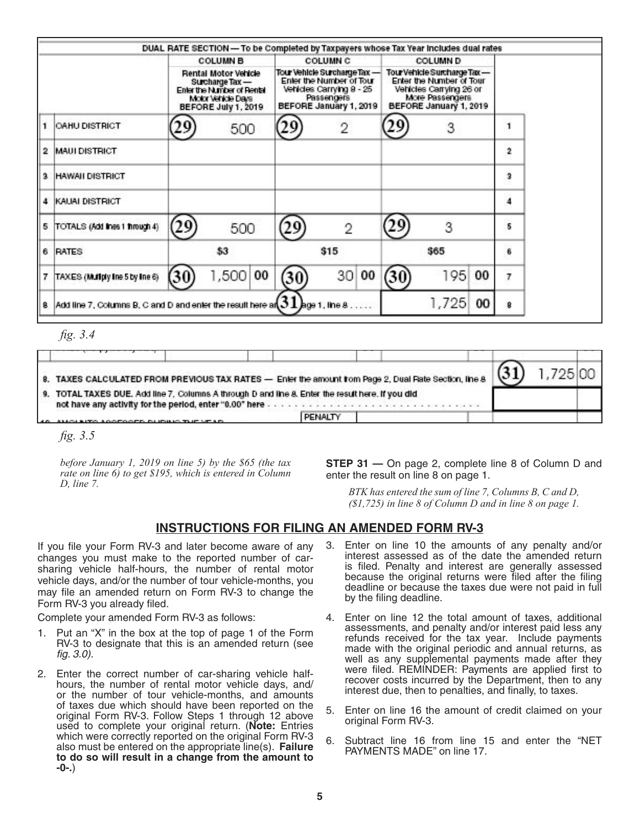|                                                                                          |                                                                                                                    | <b>COLUMN B</b> |                                                                                                                              | <b>COLUMN C</b>       |                                                                                                                                 | <b>COLUMN D</b> |    |                |
|------------------------------------------------------------------------------------------|--------------------------------------------------------------------------------------------------------------------|-----------------|------------------------------------------------------------------------------------------------------------------------------|-----------------------|---------------------------------------------------------------------------------------------------------------------------------|-----------------|----|----------------|
|                                                                                          | Rental Motor Vehicle<br>Surcharge Tax -<br>Enter the Number of Rental<br>Molor Vehicle Days<br>BEFORE July 1, 2019 |                 | Tour Vehicle Surcharge Tax -<br>Enter the Number of Tour<br>Vehicles Carrying 8 - 25<br>Passengers<br>BEFORE January 1, 2019 |                       | Tour Vehicle Surcharge Tax-<br>Enter the Number of Tour<br>Vehicles Carrying 26 or<br>More Passengers<br>BEFORE January 1, 2019 |                 |    |                |
| <b>OAHU DISTRICT</b>                                                                     |                                                                                                                    | 500             |                                                                                                                              | $\overline{2}$        |                                                                                                                                 | 3               |    |                |
| $\overline{\mathbf{2}}$<br><b>MAUI DISTRICT</b>                                          |                                                                                                                    |                 |                                                                                                                              |                       |                                                                                                                                 |                 |    | $\overline{2}$ |
| 3<br><b>HAWAII DISTRICT</b>                                                              |                                                                                                                    |                 |                                                                                                                              |                       |                                                                                                                                 |                 |    | з              |
| KAUAI DISTRICT<br>4                                                                      |                                                                                                                    |                 |                                                                                                                              |                       |                                                                                                                                 |                 |    | 4              |
| TOTALS (Add lines 1 finough 4)<br>5                                                      | 29                                                                                                                 | 500             | y                                                                                                                            | $\mathfrak{D}$        |                                                                                                                                 | 3               |    | 5              |
| 6<br><b>RATES</b>                                                                        | \$3                                                                                                                |                 | \$15                                                                                                                         |                       | \$65                                                                                                                            |                 |    | 6              |
| TAXES (Multiply line 5 by line 6)<br>7                                                   | 30                                                                                                                 | 1,500<br>00     | 30)                                                                                                                          | 30 <sup>2</sup><br>00 | (30                                                                                                                             | 195             | 00 | 7              |
| Add line 7, Columns B, C and D and enter the result here an $J \bot$ lage 1, line 8<br>8 |                                                                                                                    |                 |                                                                                                                              |                       |                                                                                                                                 | 1,725           | 00 | 8              |

*fig. 3.4*

31 1,725 00 8. TAXES CALCULATED FROM PREVIOUS TAX RATES - Enter the amount from Page 2, Dual Rate Section, line 8 9. TOTAL TAXES DUE. Add line 7, Columns A through D and line 8. Enter the result here. If you did not have any activity for the period, enter "0.00" here . . . . . . . . . . . *.* PENALTY

*fig. 3.5*

*before January 1, 2019 on line 5) by the \$65 (the tax rate on line 6) to get \$195, which is entered in Column D, line 7.*

**STEP 31 — On page 2, complete line 8 of Column D and** enter the result on line 8 on page 1.

*BTK has entered the sum of line 7, Columns B, C and D, (\$1,725) in line 8 of Column D and in line 8 on page 1.*

# **INSTRUCTIONS FOR FILING AN AMENDED FORM RV-3**

If you file your Form RV-3 and later become aware of any changes you must make to the reported number of carsharing vehicle half-hours, the number of rental motor vehicle days, and/or the number of tour vehicle-months, you may file an amended return on Form RV-3 to change the Form RV-3 you already filed.

Complete your amended Form RV-3 as follows:

- Put an "X" in the box at the top of page 1 of the Form RV-3 to designate that this is an amended return (see *fig. 3.0)*.
- 2. Enter the correct number of car-sharing vehicle halfhours, the number of rental motor vehicle days, and/ or the number of tour vehicle-months, and amounts of taxes due which should have been reported on the original Form RV-3. Follow Steps 1 through 12 above used to complete your original return. (**Note:** Entries which were correctly reported on the original Form RV-3 also must be entered on the appropriate line(s). **Failure to do so will result in a change from the amount to -0-.**)
- 3. Enter on line 10 the amounts of any penalty and/or interest assessed as of the date the amended return is filed. Penalty and interest are generally assessed because the original returns were filed after the filing deadline or because the taxes due were not paid in full by the filing deadline.
- 4. Enter on line 12 the total amount of taxes, additional assessments, and penalty and/or interest paid less any refunds received for the tax year. Include payments made with the original periodic and annual returns, as well as any supplemental payments made after they were filed. REMINDER: Payments are applied first to recover costs incurred by the Department, then to any interest due, then to penalties, and finally, to taxes.
- 5. Enter on line 16 the amount of credit claimed on your original Form RV-3.
- 6. Subtract line 16 from line 15 and enter the "NET PAYMENTS MADE" on line 17.